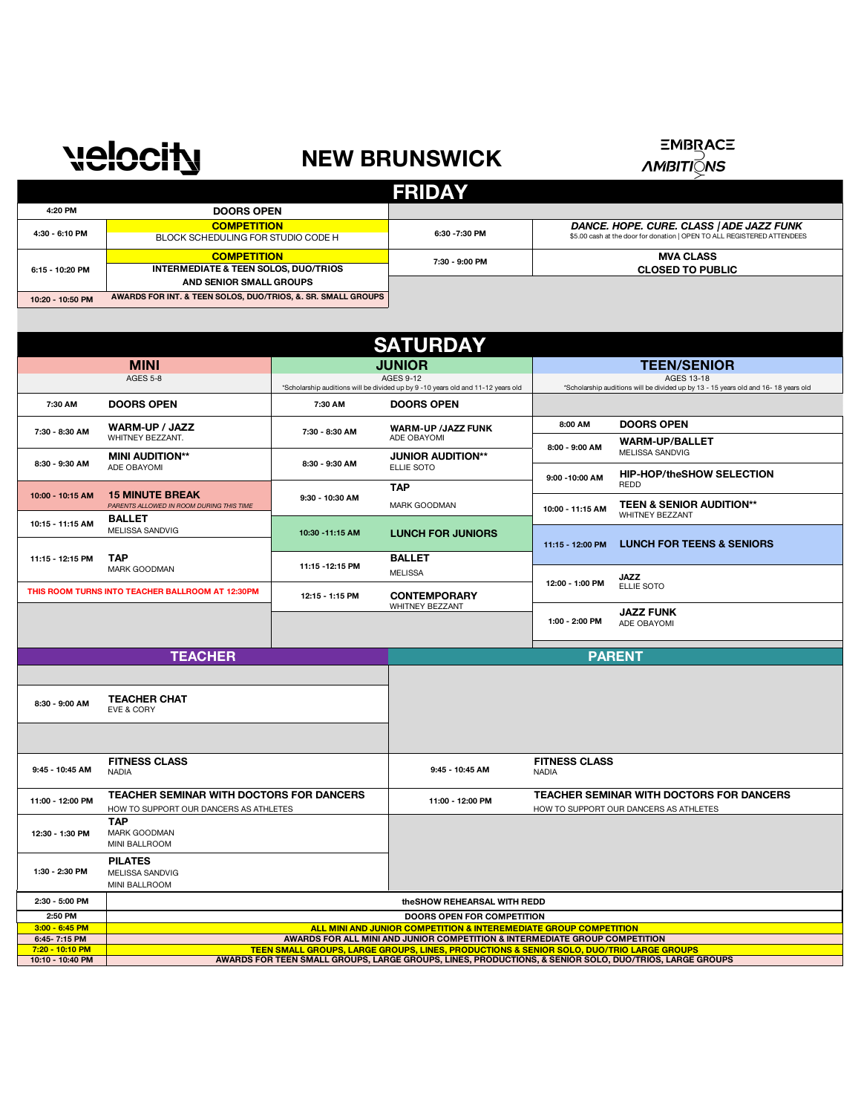## **NEW BRUNSWICK**

## ΞΜΒ<u>R</u>ΑCΞ<br>*ΛΜΒΙΤΙ*QΛS

|                 |                                                                                                                                                               | <b>FRIDAY</b>  |                                                                                                                     |
|-----------------|---------------------------------------------------------------------------------------------------------------------------------------------------------------|----------------|---------------------------------------------------------------------------------------------------------------------|
| 4:20 PM         | <b>DOORS OPEN</b>                                                                                                                                             |                |                                                                                                                     |
| 4:30 - 6:10 PM  | <b>COMPETITION</b><br>BLOCK SCHEDULING FOR STUDIO CODE H                                                                                                      | 6:30 - 7:30 PM | DANCE. HOPE. CURE. CLASS   ADE JAZZ FUNK<br>\$5.00 cash at the door for donation   OPEN TO ALL REGISTERED ATTENDEES |
| 6:15 - 10:20 PM | <b>COMPETITION</b><br><b>INTERMEDIATE &amp; TEEN SOLOS, DUO/TRIOS</b><br>AND SENIOR SMALL GROUPS<br>AMARDO FOR INT. 8 TEEN COLOR BUOTRIOR & CR. CHALL CROUDS. | 7:30 - 9:00 PM | <b>MVA CLASS</b><br><b>CLOSED TO PUBLIC</b>                                                                         |
|                 |                                                                                                                                                               |                |                                                                                                                     |

**10:20 - 10:50 PM AWARDS FOR INTERNATION EXECUTE** 

**velocity** 

| <b>SATURDAY</b>                                     |                                                                                    |                  |                                                                                                                                                                                                                                                                                              |                                      |                                                                                                          |
|-----------------------------------------------------|------------------------------------------------------------------------------------|------------------|----------------------------------------------------------------------------------------------------------------------------------------------------------------------------------------------------------------------------------------------------------------------------------------------|--------------------------------------|----------------------------------------------------------------------------------------------------------|
|                                                     | <b>MINI</b>                                                                        |                  | <b>JUNIOR</b>                                                                                                                                                                                                                                                                                |                                      | <b>TEEN/SENIOR</b>                                                                                       |
|                                                     | <b>AGES 5-8</b>                                                                    |                  | <b>AGES 9-12</b><br>*Scholarship auditions will be divided up by 9 -10 years old and 11-12 years old                                                                                                                                                                                         |                                      | <b>AGES 13-18</b><br>*Scholarship auditions will be divided up by 13 - 15 years old and 16- 18 years old |
| 7:30 AM                                             | <b>DOORS OPEN</b>                                                                  | 7:30 AM          | <b>DOORS OPEN</b>                                                                                                                                                                                                                                                                            |                                      |                                                                                                          |
| 7:30 - 8:30 AM                                      | <b>WARM-UP / JAZZ</b><br>WHITNEY BEZZANT.                                          | 7:30 - 8:30 AM   | <b>WARM-UP /JAZZ FUNK</b><br>ADE OBAYOMI                                                                                                                                                                                                                                                     | 8:00 AM                              | <b>DOORS OPEN</b><br><b>WARM-UP/BALLET</b>                                                               |
| 8:30 - 9:30 AM                                      | <b>MINI AUDITION**</b><br>ADE OBAYOMI                                              | 8:30 - 9:30 AM   | <b>JUNIOR AUDITION**</b><br>ELLIE SOTO                                                                                                                                                                                                                                                       | 8:00 - 9:00 AM                       | MELISSA SANDVIG<br><b>HIP-HOP/theSHOW SELECTION</b>                                                      |
| 10:00 - 10:15 AM                                    | <b>15 MINUTE BREAK</b><br>PARENTS ALLOWED IN ROOM DURING THIS TIME                 | 9:30 - 10:30 AM  | <b>TAP</b><br><b>MARK GOODMAN</b>                                                                                                                                                                                                                                                            | 9:00 - 10:00 AM<br>10:00 - 11:15 AM  | <b>REDD</b><br><b>TEEN &amp; SENIOR AUDITION**</b>                                                       |
| 10:15 - 11:15 AM                                    | <b>BALLET</b><br>MELISSA SANDVIG                                                   | 10:30 - 11:15 AM | <b>LUNCH FOR JUNIORS</b>                                                                                                                                                                                                                                                                     |                                      | <b>WHITNEY BEZZANT</b>                                                                                   |
| 11:15 - 12:15 PM                                    | <b>TAP</b>                                                                         | 11:15 - 12:15 PM | <b>BALLET</b>                                                                                                                                                                                                                                                                                | 11:15 - 12:00 PM                     | <b>LUNCH FOR TEENS &amp; SENIORS</b>                                                                     |
|                                                     | MARK GOODMAN<br>THIS ROOM TURNS INTO TEACHER BALLROOM AT 12:30PM                   |                  | <b>MELISSA</b>                                                                                                                                                                                                                                                                               | 12:00 - 1:00 PM                      | <b>JAZZ</b><br><b>ELLIE SOTO</b>                                                                         |
|                                                     |                                                                                    | 12:15 - 1:15 PM  | <b>CONTEMPORARY</b><br><b>WHITNEY BEZZANT</b>                                                                                                                                                                                                                                                | 1:00 - 2:00 PM                       | <b>JAZZ FUNK</b><br>ADE OBAYOMI                                                                          |
|                                                     |                                                                                    |                  |                                                                                                                                                                                                                                                                                              |                                      |                                                                                                          |
| <b>TEACHER</b>                                      |                                                                                    |                  |                                                                                                                                                                                                                                                                                              |                                      | <b>PARENT</b>                                                                                            |
|                                                     |                                                                                    |                  |                                                                                                                                                                                                                                                                                              |                                      |                                                                                                          |
|                                                     | <b>TEACHER CHAT</b>                                                                |                  |                                                                                                                                                                                                                                                                                              |                                      |                                                                                                          |
| 8:30 - 9:00 AM                                      | EVE & CORY                                                                         |                  |                                                                                                                                                                                                                                                                                              |                                      |                                                                                                          |
|                                                     |                                                                                    |                  |                                                                                                                                                                                                                                                                                              |                                      |                                                                                                          |
| 9:45 - 10:45 AM                                     | <b>FITNESS CLASS</b><br><b>NADIA</b>                                               |                  | 9:45 - 10:45 AM                                                                                                                                                                                                                                                                              | <b>FITNESS CLASS</b><br><b>NADIA</b> |                                                                                                          |
| 11:00 - 12:00 PM                                    | TEACHER SEMINAR WITH DOCTORS FOR DANCERS<br>HOW TO SUPPORT OUR DANCERS AS ATHLETES |                  | 11:00 - 12:00 PM                                                                                                                                                                                                                                                                             |                                      | TEACHER SEMINAR WITH DOCTORS FOR DANCERS<br>HOW TO SUPPORT OUR DANCERS AS ATHLETES                       |
| 12:30 - 1:30 PM                                     | <b>TAP</b><br><b>MARK GOODMAN</b><br>MINI BALLROOM                                 |                  |                                                                                                                                                                                                                                                                                              |                                      |                                                                                                          |
| 1:30 - 2:30 PM                                      | <b>PILATES</b><br>MELISSA SANDVIG<br>MINI BALLROOM                                 |                  |                                                                                                                                                                                                                                                                                              |                                      |                                                                                                          |
| 2:30 - 5:00 PM                                      |                                                                                    |                  | theSHOW REHEARSAL WITH REDD                                                                                                                                                                                                                                                                  |                                      |                                                                                                          |
| 2:50 PM                                             |                                                                                    |                  | <b>DOORS OPEN FOR COMPETITION</b>                                                                                                                                                                                                                                                            |                                      |                                                                                                          |
| $3:00 - 6:45$ PM                                    |                                                                                    |                  | ALL MINI AND JUNIOR COMPETITION & INTEREMEDIATE GROUP COMPETITION                                                                                                                                                                                                                            |                                      |                                                                                                          |
| 6:45 7:15 PM<br>7:20 - 10:10 PM<br>10:10 - 10:40 PM |                                                                                    |                  | AWARDS FOR ALL MINI AND JUNIOR COMPETITION & INTERMEDIATE GROUP COMPETITION<br><b>TEEN SMALL GROUPS, LARGE GROUPS, LINES, PRODUCTIONS &amp; SENIOR SOLO, DUO/TRIO LARGE GROUPS</b><br>AWARDS FOR TEEN SMALL GROUPS, LARGE GROUPS, LINES, PRODUCTIONS, & SENIOR SOLO, DUO/TRIOS, LARGE GROUPS |                                      |                                                                                                          |